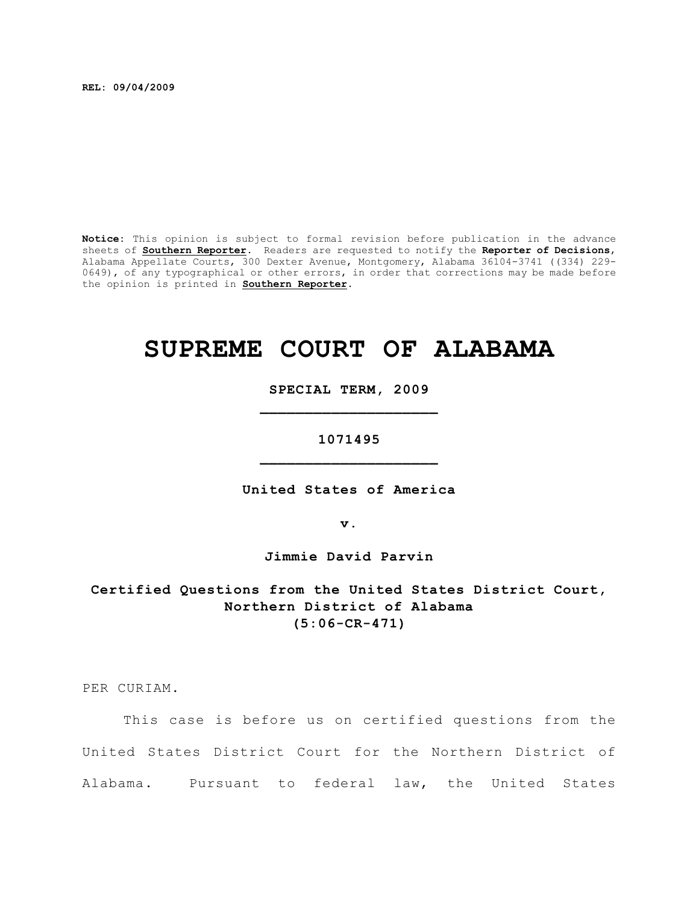**REL: 09/04/2009**

**Notice:** This opinion is subject to formal revision before publication in the advance sheets of **Southern Reporter**. Readers are requested to notify the **Reporter of Decisions**, Alabama Appellate Courts, 300 Dexter Avenue, Montgomery, Alabama 36104-3741 ((334) 229- 0649), of any typographical or other errors, in order that corrections may be made before the opinion is printed in **Southern Reporter**.

# **SUPREME COURT OF ALABAMA**

**SPECIAL TERM, 2009 \_\_\_\_\_\_\_\_\_\_\_\_\_\_\_\_\_\_\_\_**

**1071495 \_\_\_\_\_\_\_\_\_\_\_\_\_\_\_\_\_\_\_\_**

**United States of America**

**v.**

**Jimmie David Parvin**

**Certified Questions from the United States District Court, Northern District of Alabama (5:06-CR-471)**

PER CURIAM.

This case is before us on certified questions from the United States District Court for the Northern District of Alabama. Pursuant to federal law, the United States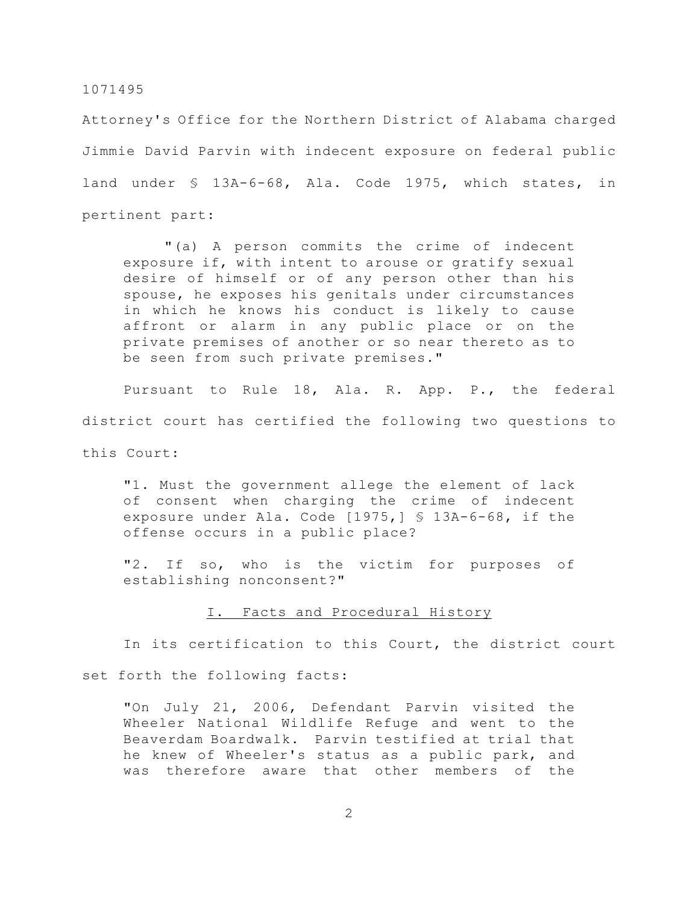Attorney's Office for the Northern District of Alabama charged Jimmie David Parvin with indecent exposure on federal public land under § 13A-6-68, Ala. Code 1975, which states, in pertinent part:

"(a) A person commits the crime of indecent exposure if, with intent to arouse or gratify sexual desire of himself or of any person other than his spouse, he exposes his genitals under circumstances in which he knows his conduct is likely to cause affront or alarm in any public place or on the private premises of another or so near thereto as to be seen from such private premises."

Pursuant to Rule 18, Ala. R. App. P., the federal district court has certified the following two questions to this Court:

"1. Must the government allege the element of lack of consent when charging the crime of indecent exposure under Ala. Code [1975,] § 13A-6-68, if the offense occurs in a public place?

"2. If so, who is the victim for purposes of establishing nonconsent?"

I. Facts and Procedural History

In its certification to this Court, the district court

set forth the following facts:

"On July 21, 2006, Defendant Parvin visited the Wheeler National Wildlife Refuge and went to the Beaverdam Boardwalk. Parvin testified at trial that he knew of Wheeler's status as a public park, and was therefore aware that other members of the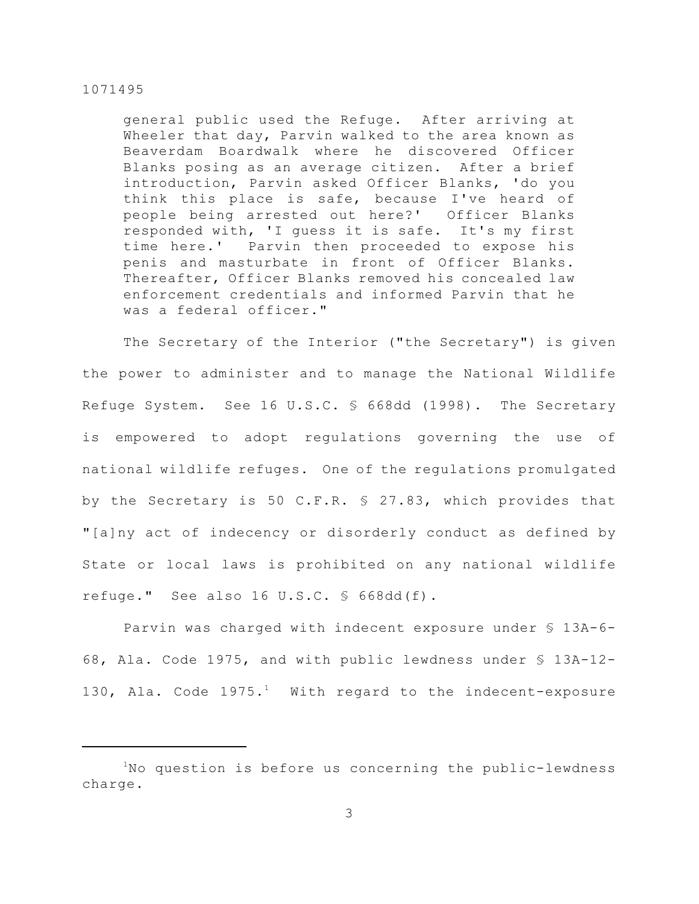general public used the Refuge. After arriving at Wheeler that day, Parvin walked to the area known as Beaverdam Boardwalk where he discovered Officer Blanks posing as an average citizen. After a brief introduction, Parvin asked Officer Blanks, 'do you think this place is safe, because I've heard of people being arrested out here?' Officer Blanks responded with, 'I guess it is safe. It's my first time here.' Parvin then proceeded to expose his penis and masturbate in front of Officer Blanks. Thereafter, Officer Blanks removed his concealed law enforcement credentials and informed Parvin that he was a federal officer."

The Secretary of the Interior ("the Secretary") is given the power to administer and to manage the National Wildlife Refuge System. See 16 U.S.C. § 668dd (1998). The Secretary is empowered to adopt regulations governing the use of national wildlife refuges. One of the regulations promulgated by the Secretary is 50 C.F.R. § 27.83, which provides that "[a]ny act of indecency or disorderly conduct as defined by State or local laws is prohibited on any national wildlife refuge." See also 16 U.S.C. § 668dd(f).

Parvin was charged with indecent exposure under § 13A-6- 68, Ala. Code 1975, and with public lewdness under § 13A-12- 130, Ala. Code  $1975.^1$  With regard to the indecent-exposure

 $1$ No question is before us concerning the public-lewdness charge.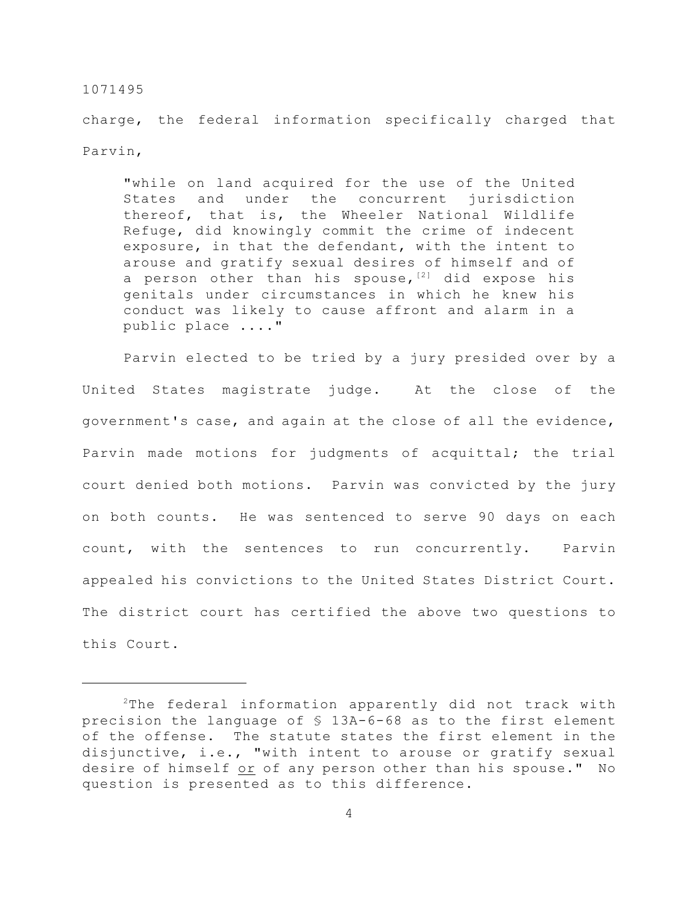charge, the federal information specifically charged that Parvin,

"while on land acquired for the use of the United States and under the concurrent jurisdiction thereof, that is, the Wheeler National Wildlife Refuge, did knowingly commit the crime of indecent exposure, in that the defendant, with the intent to arouse and gratify sexual desires of himself and of a person other than his spouse,  $[2]$  did expose his genitals under circumstances in which he knew his conduct was likely to cause affront and alarm in a public place ...."

Parvin elected to be tried by a jury presided over by a United States magistrate judge. At the close of the government's case, and again at the close of all the evidence, Parvin made motions for judgments of acquittal; the trial court denied both motions. Parvin was convicted by the jury on both counts. He was sentenced to serve 90 days on each count, with the sentences to run concurrently. Parvin appealed his convictions to the United States District Court. The district court has certified the above two questions to this Court.

 $2$ The federal information apparently did not track with precision the language of § 13A-6-68 as to the first element of the offense. The statute states the first element in the disjunctive, i.e., "with intent to arouse or gratify sexual desire of himself or of any person other than his spouse." No question is presented as to this difference.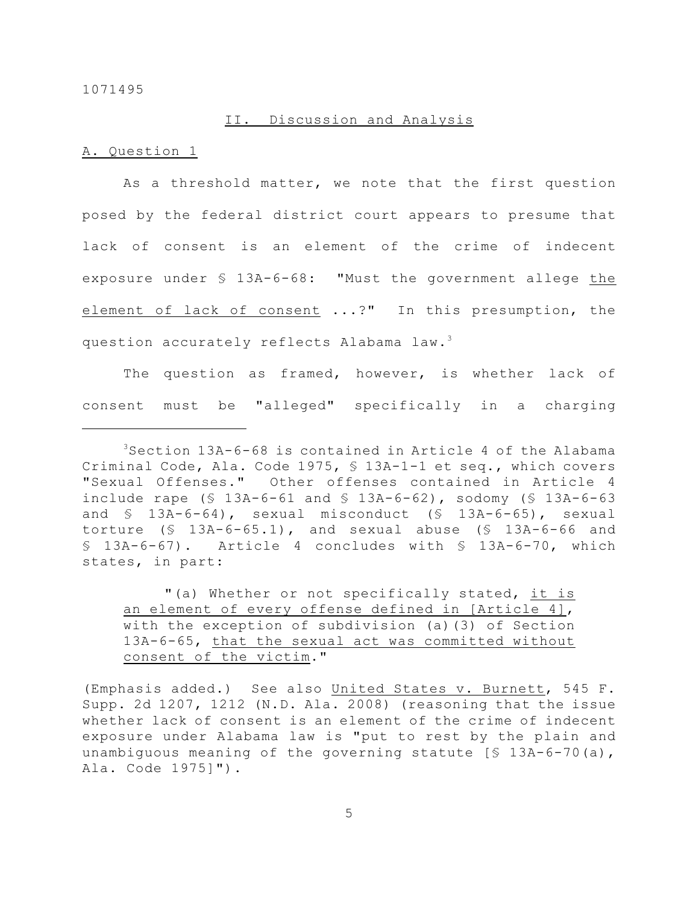## II. Discussion and Analysis

## A. Question 1

As a threshold matter, we note that the first question posed by the federal district court appears to presume that lack of consent is an element of the crime of indecent exposure under § 13A-6-68: "Must the government allege the element of lack of consent ...?" In this presumption, the question accurately reflects Alabama law.<sup>3</sup>

The question as framed, however, is whether lack of consent must be "alleged" specifically in a charging

"(a) Whether or not specifically stated, it is an element of every offense defined in [Article 4], with the exception of subdivision (a)(3) of Section 13A-6-65, that the sexual act was committed without consent of the victim."

(Emphasis added.) See also United States v. Burnett, 545 F. Supp. 2d 1207, 1212 (N.D. Ala. 2008) (reasoning that the issue whether lack of consent is an element of the crime of indecent exposure under Alabama law is "put to rest by the plain and unambiguous meaning of the governing statute [§ 13A-6-70(a), Ala. Code 1975]").

5

 $3$ Section 13A-6-68 is contained in Article 4 of the Alabama Criminal Code, Ala. Code 1975, § 13A-1-1 et seq., which covers "Sexual Offenses." Other offenses contained in Article 4 include rape  $(\frac{5}{13A-6-61}$  and  $\frac{5}{13A-6-62}$ , sodomy  $(\frac{5}{13A-6-63}$ and § 13A-6-64), sexual misconduct (§ 13A-6-65), sexual torture (§ 13A-6-65.1), and sexual abuse (§ 13A-6-66 and § 13A-6-67). Article 4 concludes with § 13A-6-70, which states, in part: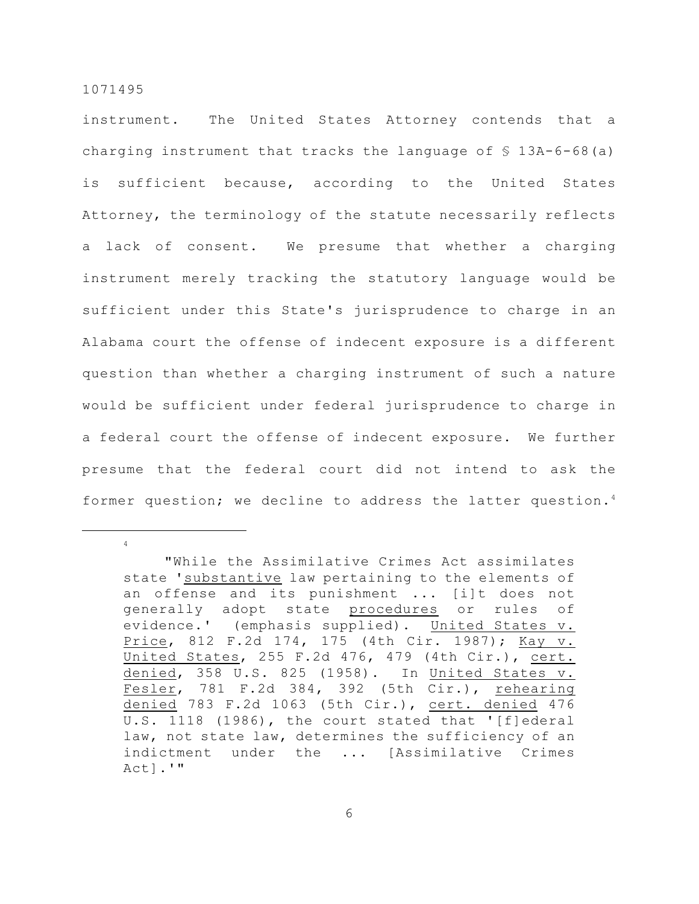4

instrument. The United States Attorney contends that a charging instrument that tracks the language of  $$ 13A-6-68(a)$ is sufficient because, according to the United States Attorney, the terminology of the statute necessarily reflects a lack of consent. We presume that whether a charging instrument merely tracking the statutory language would be sufficient under this State's jurisprudence to charge in an Alabama court the offense of indecent exposure is a different question than whether a charging instrument of such a nature would be sufficient under federal jurisprudence to charge in a federal court the offense of indecent exposure. We further presume that the federal court did not intend to ask the former question; we decline to address the latter question.<sup>4</sup>

6

<sup>&</sup>quot;While the Assimilative Crimes Act assimilates state 'substantive law pertaining to the elements of an offense and its punishment ... [i]t does not generally adopt state procedures or rules of evidence.' (emphasis supplied). United States v. Price, 812 F.2d 174, 175 (4th Cir. 1987); Kay v. United States, 255 F.2d 476, 479 (4th Cir.), cert. denied, 358 U.S. 825 (1958). In United States v. Fesler, 781 F.2d 384, 392 (5th Cir.), rehearing denied 783 F.2d 1063 (5th Cir.), cert. denied 476 U.S. 1118 (1986), the court stated that '[f]ederal law, not state law, determines the sufficiency of an indictment under the ... [Assimilative Crimes Act].'"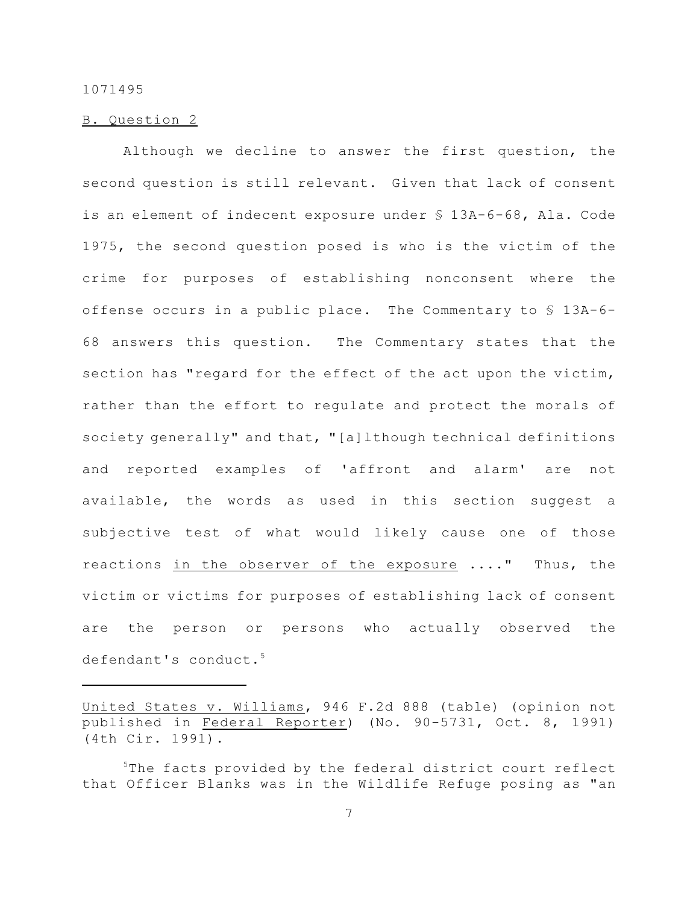## B. Question 2

Although we decline to answer the first question, the second question is still relevant. Given that lack of consent is an element of indecent exposure under § 13A-6-68, Ala. Code 1975, the second question posed is who is the victim of the crime for purposes of establishing nonconsent where the offense occurs in a public place. The Commentary to § 13A-6- 68 answers this question. The Commentary states that the section has "regard for the effect of the act upon the victim, rather than the effort to regulate and protect the morals of society generally" and that, "[a]lthough technical definitions and reported examples of 'affront and alarm' are not available, the words as used in this section suggest a subjective test of what would likely cause one of those reactions in the observer of the exposure ...." Thus, the victim or victims for purposes of establishing lack of consent are the person or persons who actually observed the defendant's conduct.<sup>5</sup>

United States v. Williams, 946 F.2d 888 (table) (opinion not published in Federal Reporter) (No. 90-5731, Oct. 8, 1991) (4th Cir. 1991).

 $5$ The facts provided by the federal district court reflect that Officer Blanks was in the Wildlife Refuge posing as "an